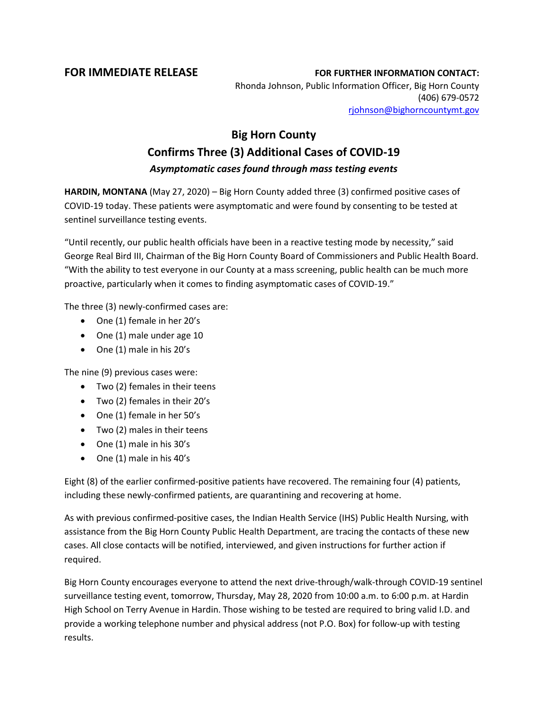## **FOR IMMEDIATE RELEASE FOR FURTHER INFORMATION CONTACT:** Rhonda Johnson, Public Information Officer, Big Horn County (406) 679-0572 [rjohnson@bighorncountymt.gov](mailto:rjohnson@bighorncountymt.gov)

## **Big Horn County Confirms Three (3) Additional Cases of COVID-19** *Asymptomatic cases found through mass testing events*

**HARDIN, MONTANA** (May 27, 2020) – Big Horn County added three (3) confirmed positive cases of COVID-19 today. These patients were asymptomatic and were found by consenting to be tested at sentinel surveillance testing events.

"Until recently, our public health officials have been in a reactive testing mode by necessity," said George Real Bird III, Chairman of the Big Horn County Board of Commissioners and Public Health Board. "With the ability to test everyone in our County at a mass screening, public health can be much more proactive, particularly when it comes to finding asymptomatic cases of COVID-19."

The three (3) newly-confirmed cases are:

- One (1) female in her 20's
- One (1) male under age 10
- One (1) male in his 20's

The nine (9) previous cases were:

- Two (2) females in their teens
- Two (2) females in their 20's
- One (1) female in her 50's
- Two (2) males in their teens
- One (1) male in his 30's
- One (1) male in his 40's

Eight (8) of the earlier confirmed-positive patients have recovered. The remaining four (4) patients, including these newly-confirmed patients, are quarantining and recovering at home.

As with previous confirmed-positive cases, the Indian Health Service (IHS) Public Health Nursing, with assistance from the Big Horn County Public Health Department, are tracing the contacts of these new cases. All close contacts will be notified, interviewed, and given instructions for further action if required.

Big Horn County encourages everyone to attend the next drive-through/walk-through COVID-19 sentinel surveillance testing event, tomorrow, Thursday, May 28, 2020 from 10:00 a.m. to 6:00 p.m. at Hardin High School on Terry Avenue in Hardin. Those wishing to be tested are required to bring valid I.D. and provide a working telephone number and physical address (not P.O. Box) for follow-up with testing results.